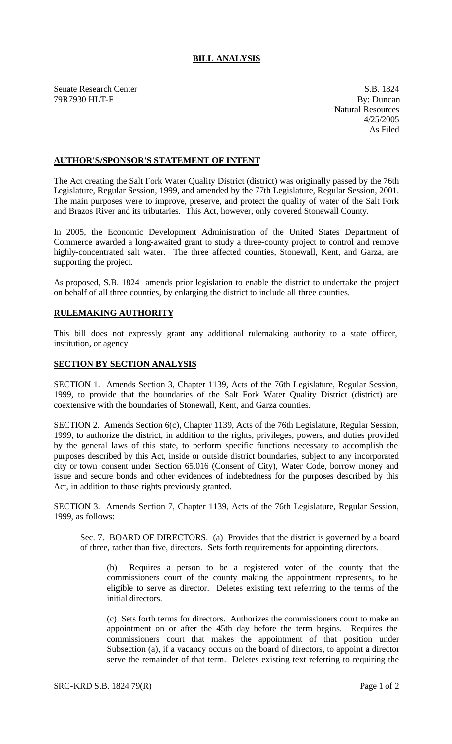## **BILL ANALYSIS**

Senate Research Center S.B. 1824 79R7930 HLT-F By: Duncan

Natural Resources 4/25/2005 As Filed

## **AUTHOR'S/SPONSOR'S STATEMENT OF INTENT**

The Act creating the Salt Fork Water Quality District (district) was originally passed by the 76th Legislature, Regular Session, 1999, and amended by the 77th Legislature, Regular Session, 2001. The main purposes were to improve, preserve, and protect the quality of water of the Salt Fork and Brazos River and its tributaries. This Act, however, only covered Stonewall County.

In 2005, the Economic Development Administration of the United States Department of Commerce awarded a long-awaited grant to study a three-county project to control and remove highly-concentrated salt water. The three affected counties, Stonewall, Kent, and Garza, are supporting the project.

As proposed, S.B. 1824 amends prior legislation to enable the district to undertake the project on behalf of all three counties, by enlarging the district to include all three counties.

## **RULEMAKING AUTHORITY**

This bill does not expressly grant any additional rulemaking authority to a state officer, institution, or agency.

## **SECTION BY SECTION ANALYSIS**

SECTION 1. Amends Section 3, Chapter 1139, Acts of the 76th Legislature, Regular Session, 1999, to provide that the boundaries of the Salt Fork Water Quality District (district) are coextensive with the boundaries of Stonewall, Kent, and Garza counties.

SECTION 2. Amends Section 6(c), Chapter 1139, Acts of the 76th Legislature, Regular Session, 1999, to authorize the district, in addition to the rights, privileges, powers, and duties provided by the general laws of this state, to perform specific functions necessary to accomplish the purposes described by this Act, inside or outside district boundaries, subject to any incorporated city or town consent under Section 65.016 (Consent of City), Water Code, borrow money and issue and secure bonds and other evidences of indebtedness for the purposes described by this Act, in addition to those rights previously granted.

SECTION 3. Amends Section 7, Chapter 1139, Acts of the 76th Legislature, Regular Session, 1999, as follows:

Sec. 7. BOARD OF DIRECTORS. (a) Provides that the district is governed by a board of three, rather than five, directors. Sets forth requirements for appointing directors.

(b) Requires a person to be a registered voter of the county that the commissioners court of the county making the appointment represents, to be eligible to serve as director. Deletes existing text refe rring to the terms of the initial directors.

(c) Sets forth terms for directors. Authorizes the commissioners court to make an appointment on or after the 45th day before the term begins. Requires the commissioners court that makes the appointment of that position under Subsection (a), if a vacancy occurs on the board of directors, to appoint a director serve the remainder of that term. Deletes existing text referring to requiring the